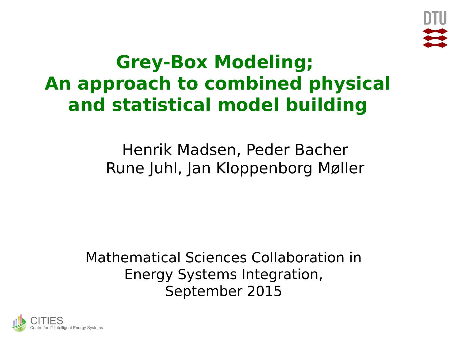

# **Grey-Box Modeling; An approach to combined physical and statistical model building**

Henrik Madsen, Peder Bacher Rune Juhl, Jan Kloppenborg Møller

Mathematical Sciences Collaboration in Energy Systems Integration, September 2015

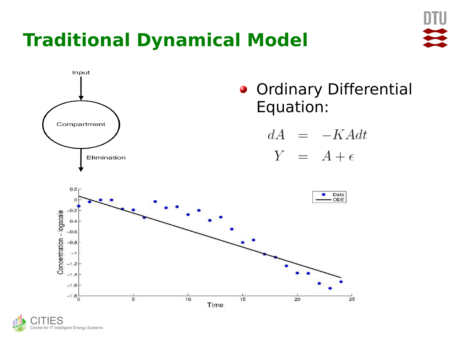# **Traditional Dynamical Model**



ES Centre for IT Intelligent Energy Systems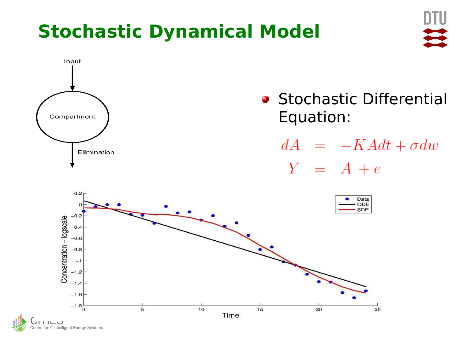# **Stochastic Dynamical Model**





- **Stochastic Differential** Equation:
	- $dA = -KAdt + \sigma dw$  $Y = A + e$

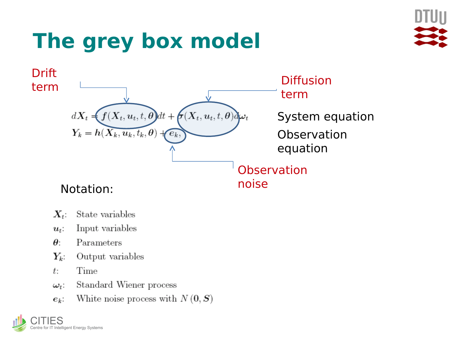# The grey box model





- State variables  $X_{t}$ :
- Input variables  $u_t$ :
- $\theta$ : Parameters
- $Y_k$ : Output variables
- Time  $t$ :
- Standard Wiener process  $\omega_t$ :
- White noise process with  $N(0, S)$  $e_k$ :

e for IT Intelligent Energy Systems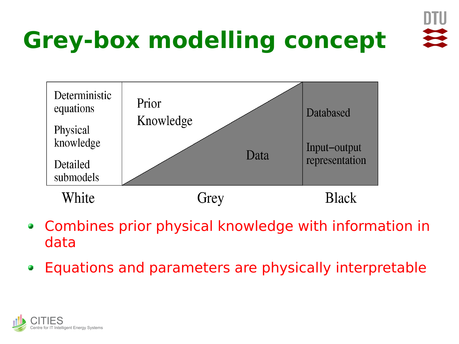

# **Grey-box modelling concept**



- Combines prior physical knowledge with information in data
- Equations and parameters are physically interpretablee.

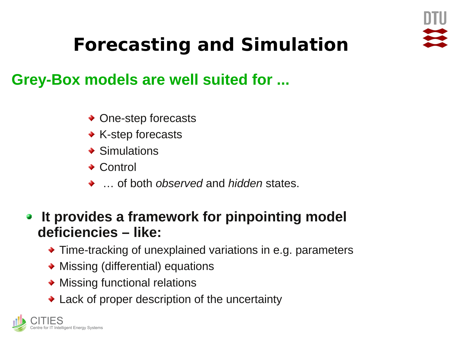

# **Forecasting and Simulation**

#### **Grey-Box models are well suited for ...**

- ◆ One-step forecasts
- ◆ K-step forecasts
- **◆ Simulations**
- **→ Control**
- … of both *observed* and *hidden* states.
- **It provides a framework for pinpointing model**   $\mathcal{F}^{\mathcal{E}}$ **deficiencies – like:**
	- Time-tracking of unexplained variations in e.g. parameters
	- Missing (differential) equations
	- Missing functional relations
	- Lack of proper description of the uncertainty

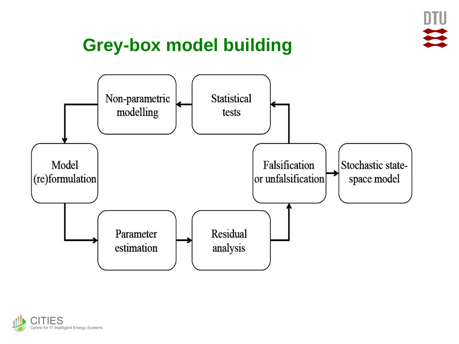

### **Grey-box model building**



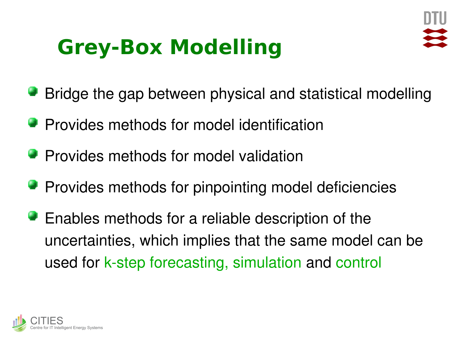# **Grey-Box Modelling**



- Bridge the gap between physical and statistical modelling
- **Provides methods for model identification**
- **Provides methods for model validation**
- **Provides methods for pinpointing model deficiencies**
- **Enables methods for a reliable description of the** uncertainties, which implies that the same model can be used for k-step forecasting, simulation and control

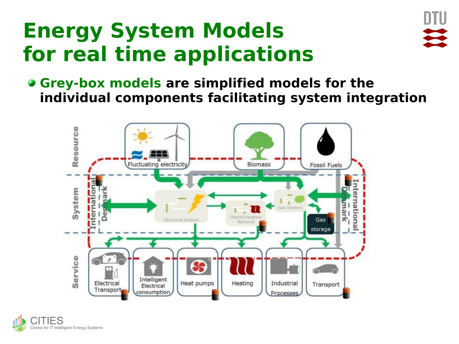# **Energy System Models for real time applications**



**Grey-box models are simplified models for the individual components facilitating system integration**



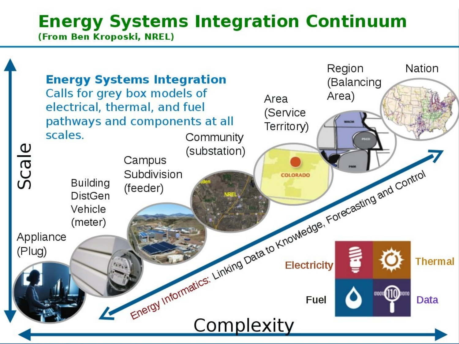# **Energy Systems Integration Continuum**

**(From Ben Kroposki, NREL)** 

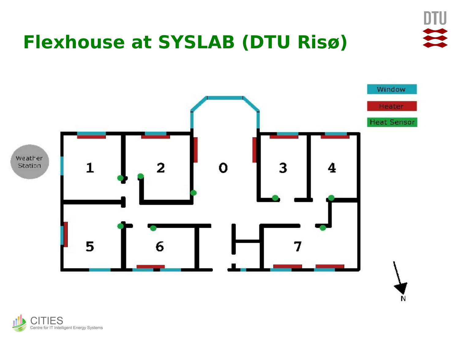

# **Flexhouse at SYSLAB (DTU Risø)**



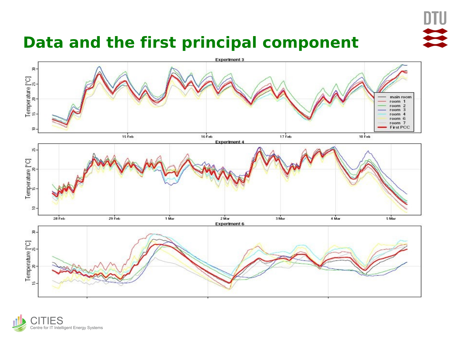

#### **Data and the first principal component**



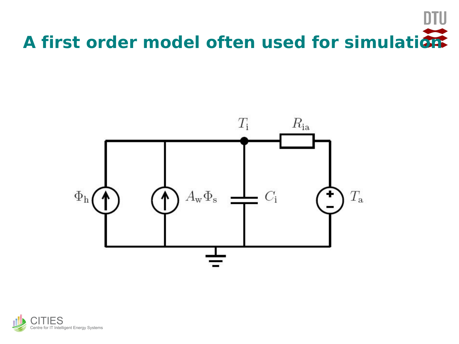# **A first order model often used for simulation**



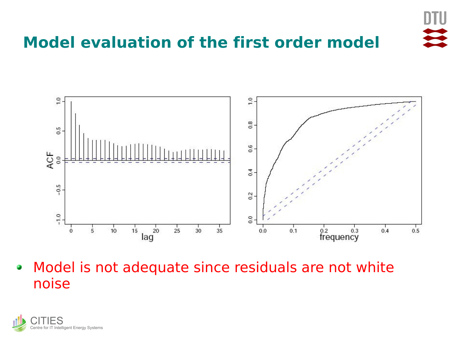

#### **Model evaluation of the first order model**



Model is not adequate since residuals are not white e. noise

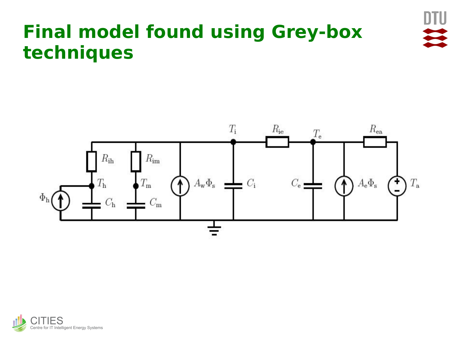

# **Final model found using Grey-box techniques**



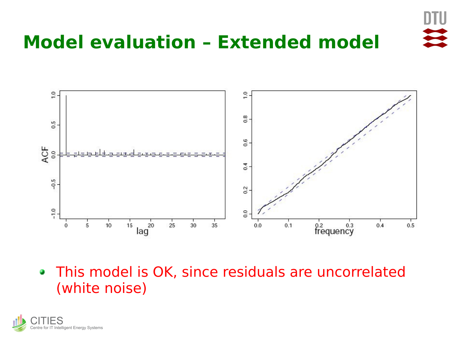

### **Model evaluation – Extended model**



This model is OK, since residuals are uncorrelated (white noise)

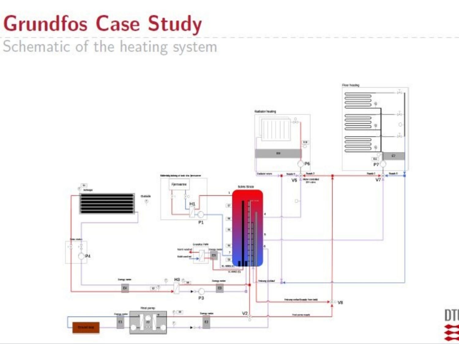# **Grundfos Case Study**

Schematic of the heating system



m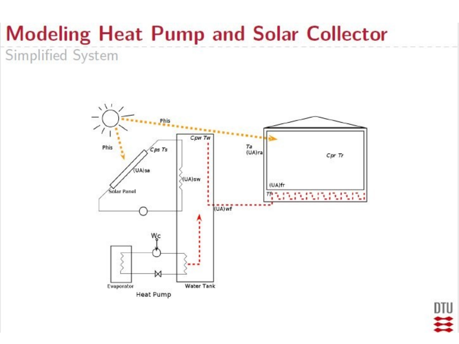# **Modeling Heat Pump and Solar Collector**

Simplified System



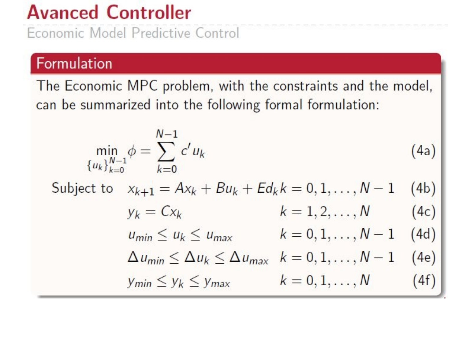# **Avanced Controller**

Economic Model Predictive Control

#### Formulation

The Economic MPC problem, with the constraints and the model, can be summarized into the following formal formulation:

$$
\min_{\{u_k\}_{k=0}^{N-1}} \phi = \sum_{k=0}^{N-1} c' u_k
$$
\n(4a)  
\nSubject to  $x_{k+1} = Ax_k + Bu_k + Ed_k k = 0, 1, ..., N-1$  (4b)  
\n $y_k = Cx_k$   $k = 1, 2, ..., N$  (4c)  
\n $u_{min} \le u_k \le u_{max}$   $k = 0, 1, ..., N-1$  (4d)  
\n $\Delta u_{min} \le \Delta u_k \le \Delta u_{max}$   $k = 0, 1, ..., N-1$  (4e)  
\n $y_{min} \le y_k \le y_{max}$   $k = 0, 1, ..., N$  (4f)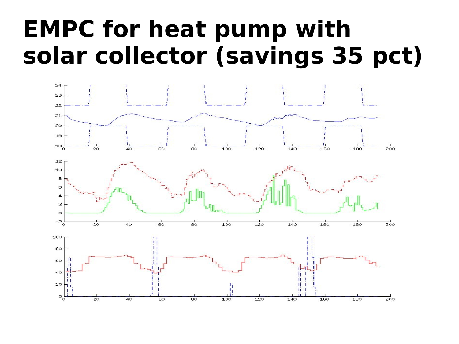# **EMPC for heat pump with solar collector (savings 35 pct)**

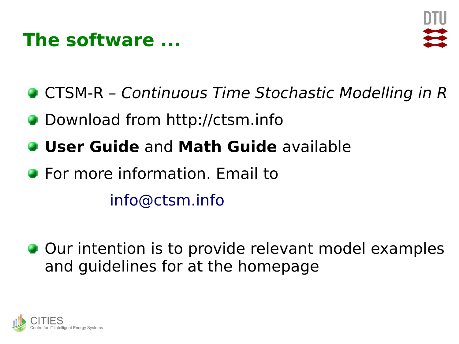### **The software ...**



- **CTSM-R Continuous Time Stochastic Modelling in R**
- **Download from http://ctsm.info**
- **User Guide** and **Math Guide** available
- **•** For more information. Email to [info@ctsm.info](mailto:info@ctsm.info)
- **Our intention is to provide relevant model examples** and guidelines for at the homepage

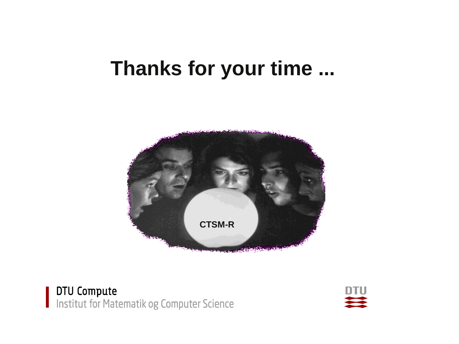# Thanks for your time ...



**DTU Compute**<br>Institut for Matematik og Computer Science